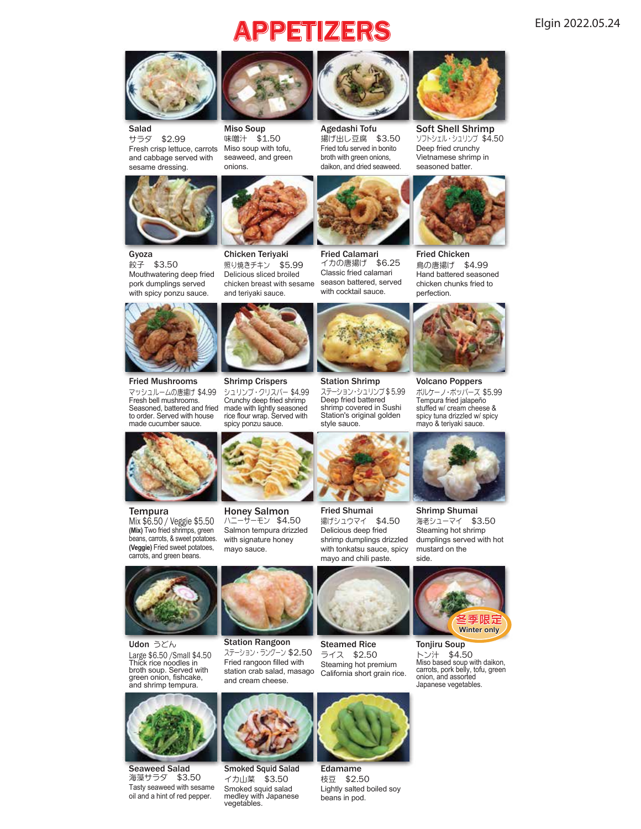# PPETIZERS Elgin 2022.05.24



Salad<br>サラダ \$2.99 Fresh crisp lettuce, carrots and cabbage served with sesame dressing.



Miso Soup 味噌汁 \$1.50 Miso soup with tofu, seaweed, and green onions.



揚げ出し豆腐 \$3.50 Fried tofu served in bonito broth with green onions, daikon, and dried seaweed. Agedashi Tofu



Soft Shell Shrimp ソフトシェル・シュリンプ \$4.50 Deep fried crunchy Vietnamese shrimp in seasoned batter



Gyoza 餃子 \$3.50 Mouthwatering deep fried pork dumplings served with spicy ponzu sauce.



Fried Mushrooms マッシュルームの唐揚げ \$4.99 Fresh bell mushrooms. Seasoned, battered and fried made with lightly seasoned to order. Served with house made cucumber sauce.



Tempura Mix \$6.50 / Veggie \$5.50 **(Mix)** Two fried shrimps, green beans, carrots, & sweet potatoes. **(Veggie)** Fried sweet potatoes, carrots, and green beans.



照り焼きチキン \$5.99

Chicken Teriyaki

Shrimp Crispers シュリンプ・クリスパー \$4.99 Crunchy deep fried shrimp rice flour wrap. Served with spicy ponzu sauce.





Fried Chicken 鳥の唐揚げ \$4.99 Hand battered seasoned chicken chunks fried to



Volcano Poppers ボルケーノ・ポッパーズ \$5.99 Tempura fried jalapeño stuffed w/ cream cheese & spicy tuna drizzled w/ spicy mayo & teriyaki sauce.



Shrimp Shumai 海老シューマイ \$3.50 Steaming hot shrimp dumplings served with hot mustard on the side.



Large \$6.50 /Small \$4.50 Thick rice noodles in broth soup. Served with green onion, fishcake, and shrimp tempura. Udon うどん



Seaweed Salad Smoked Squid Salad 海藻サラダ \$3.50 Tasty seaweed with sesame oil and a hint of red pepper.



Honey Salmon ハニーサーモン \$4.50 Salmon tempura drizzled with signature honey mayo sauce.

Station Rangoon ステーション・ラングーン \$2.50 Fried rangoon filled with station crab salad, masago and cream cheese.



Fried Shumai 揚げシュウマイ \$4.50 Delicious deep fried shrimp dumplings drizzled with tonkatsu sauce, spicy mayo and chili paste.



Edamame 枝豆 \$2.50 Lightly salted boiled soy beans in pod.



イカ山菜 \$3.50 Smoked squid salad medley with Japanese vegetables.



Steaming hot premium California short grain rice.



トン汁 \$4.50 Miso based soup with daikon, carrots, pork belly, tofu, green onion, and assorted Japanese vegetables.



Station's original golden

style sauce.



Station Shrimp ステーション・シュリンプ \$ 5.99 Deep fried battered shrimp covered in Sushi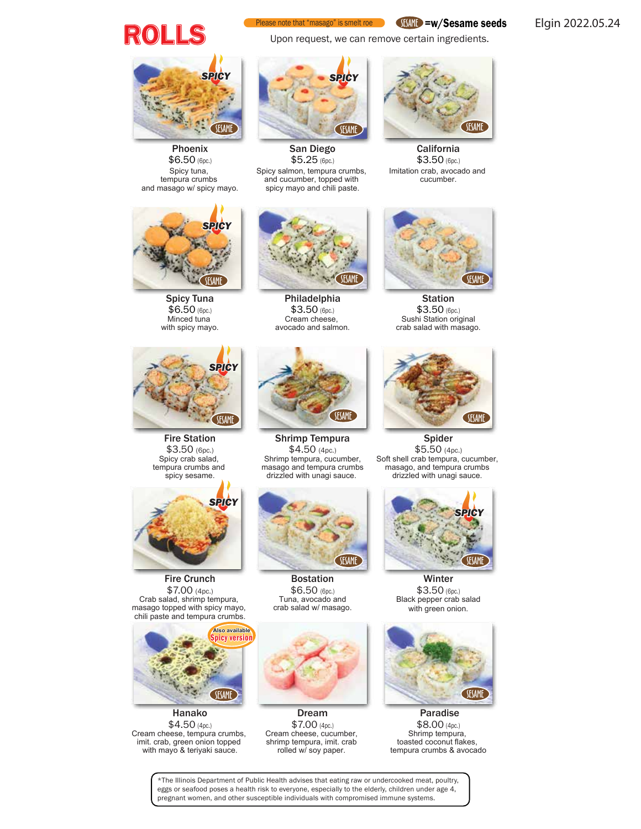

### Please note that "masago" is smelt roe

Upon request, we can remove certain ingredients.

SESAME =w/Sesame seeds

Elgin 2022.05.24



Phoenix \$6.50 (6pc.) Spicy tuna, tempura crumbs and masago w/ spicy mayo.



San Diego \$5.25 (6pc.)

Spicy salmon, tempura crumbs, and cucumber, topped with spicy mayo and chili paste.



**California** \$3.50 (6pc.) Imitation crab, avocado and cucumber.



Spicy Tuna \$6.50 (6pc.) Minced tuna with spicy mayo.



Philadelphia \$3.50 (6pc.) Cream cheese, avocado and salmon.



**Station** \$3.50 (6pc.) Sushi Station original crab salad with masago.



Fire Station \$3.50 (6pc.) Spicy crab salad, tempura crumbs and spicy sesame.



Fire Crunch \$7.00 (4pc.) Crab salad, shrimp tempura, masago topped with spicy mayo, chili paste and tempura crumbs.



Hanako  $$4.50$  (4pc.) Cream cheese, tempura crumbs, imit. crab, green onion topped with mayo & teriyaki sauce.



Shrimp Tempura \$4.50 (4pc.) Shrimp tempura, cucumber, masago and tempura crumbs drizzled with unagi sauce.



Bostation \$6.50 (6pc.) Tuna, avocado and crab salad w/ masago.



Dream \$7.00 (4pc.) Cream cheese, cucumber, shrimp tempura, imit. crab rolled w/ soy paper.



Spider \$5.50 (4pc.) Soft shell crab tempura, cucumber, masago, and tempura crumbs drizzled with unagi sauce.



**Winter** \$3.50 (6pc.) Black pepper crab salad with green onion.



 Paradise \$8.00 (4pc.) Shrimp tempura, toasted coconut flakes, tempura crumbs & avocado

\*The Illinois Department of Public Health advises that eating raw or undercooked meat, poultry, eggs or seafood poses a health risk to everyone, especially to the elderly, children under age 4, pregnant women, and other susceptible individuals with compromised immune systems.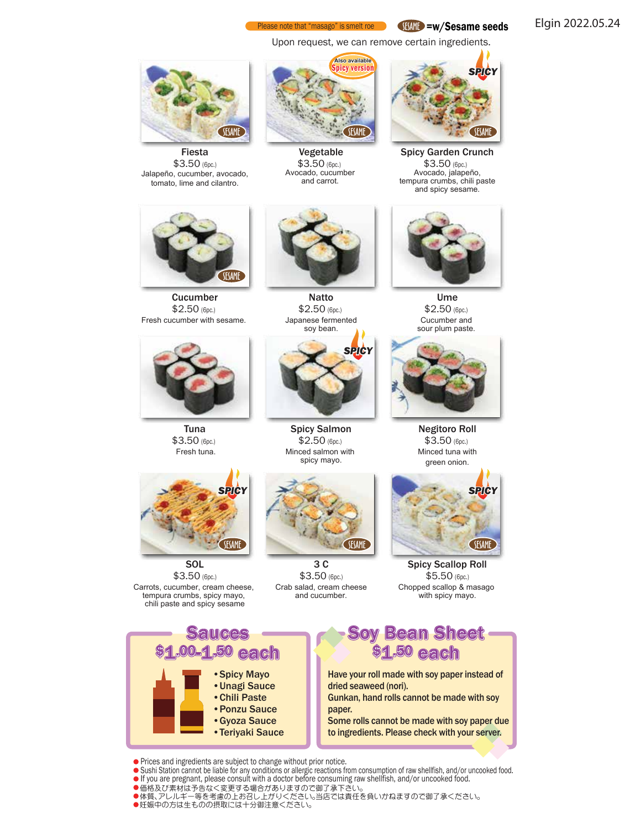#### Please note that "masago" is smelt roe SESAME =w/Sesame seeds

Upon request, we can remove certain ingredients.



Fiesta \$3.50 (6pc.) Jalapeño, cucumber, avocado, tomato, lime and cilantro.

**Cucumber** \$2.50 (6pc.) Fresh cucumber with sesame.

SESAME

*SPICY*

**SESAME** 

Tuna \$3.50 (6pc.) Fresh tuna.

**SOL** \$3.50 (6pc.) Carrots, cucumber, cream cheese, tempura crumbs, spicy mayo, chili paste and spicy sesame



Vegetable \$3.50 (6pc.) Avocado, cucumber and carrot.

Natto \$2.50 (6pc.) Japanese fermented soy bean.

*SPICY*

Spicy Salmon \$2.50 (6pc.) Minced salmon with spicy mayo.

3 C \$3.50 (6pc.) Crab salad, cream cheese and cucumber.



Spicy Garden Crunch \$3.50 (6pc.) Avocado, jalapeño, tempura crumbs, chili paste and spicy sesame.



Ume \$2.50 (6pc.) Cucumber and sour plum paste.



Negitoro Roll \$3.50 (6pc.) Minced tuna with green onion.



Spicy Scallop Roll \$5.50 (6pc.) Chopped scallop & masago with spicy mayo.



- Sushi Station cannot be liable for any conditions or allergic reactions from consumption of raw shellfish, and/or uncooked food.
- If you are pregnant, please consult with a doctor before consuming raw shellfish, and/or uncooked food.
- 価格及び素材は予告なく変更する場合がありますので御了承下さい。 体質、アレルギー等を考慮の上お召し上がりください。当店では責任を負いかねますので御了承ください。
- 妊娠中の方は生ものの摂取には十分御注意ください。



Elgin 2022.05.24